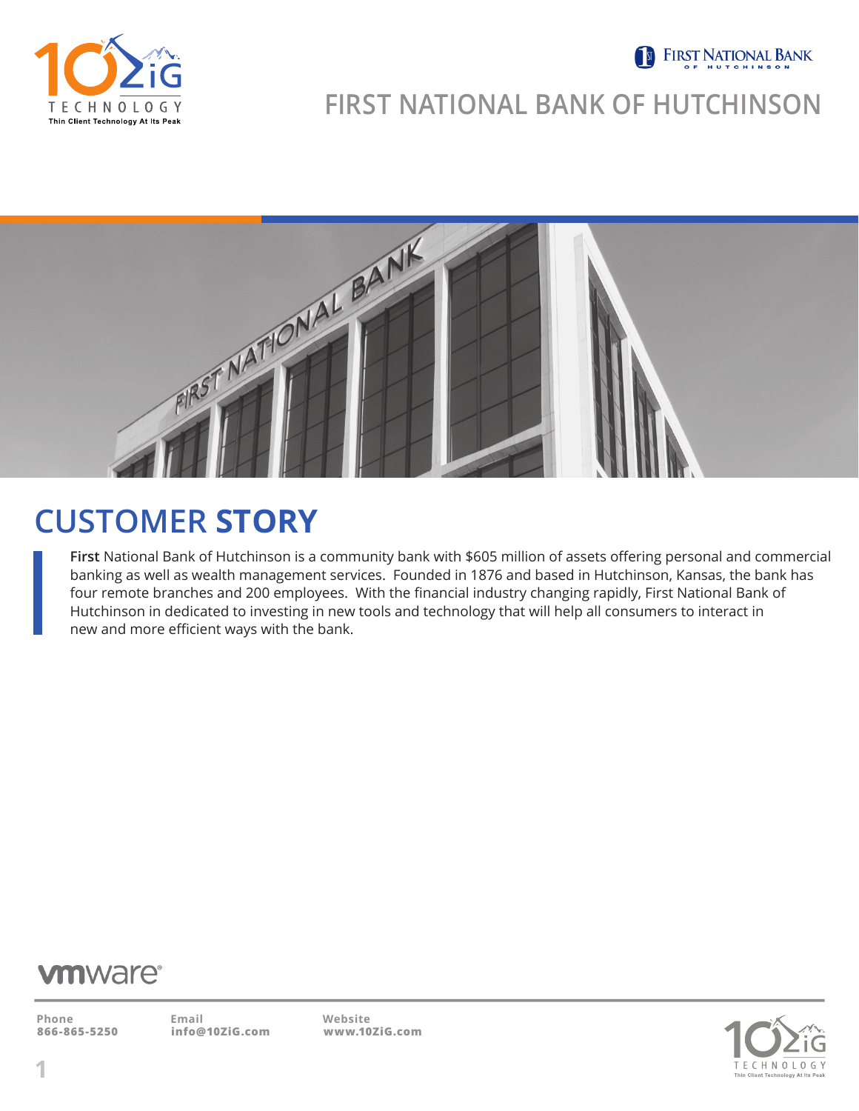

#### **S** FIRST NATIONAL BANK

### **FIRST NATIONAL BANK OF HUTCHINSON**



## **CUSTOMER STORY**

**First** National Bank of Hutchinson is a community bank with \$605 million of assets offering personal and commercial banking as well as wealth management services. Founded in 1876 and based in Hutchinson, Kansas, the bank has four remote branches and 200 employees. With the financial industry changing rapidly, First National Bank of Hutchinson in dedicated to investing in new tools and technology that will help all consumers to interact in new and more efficient ways with the bank.

#### **vmware**<sup>®</sup>

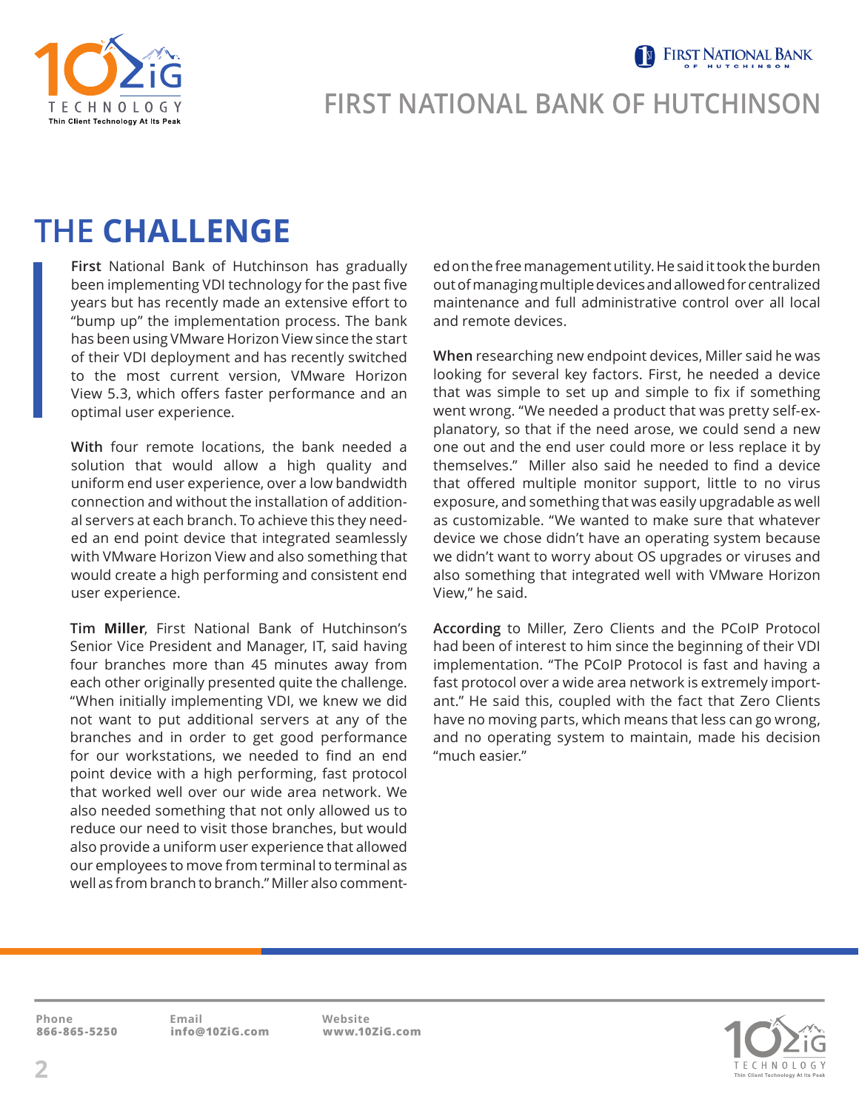**FIRST NATIONAL BANK** 



#### **FIRST NATIONAL BANK OF HUTCHINSON**

## **THE CHALLENGE**

**First** National Bank of Hutchinson has gradually been implementing VDI technology for the past five years but has recently made an extensive effort to "bump up" the implementation process. The bank has been using VMware Horizon View since the start of their VDI deployment and has recently switched to the most current version, VMware Horizon View 5.3, which offers faster performance and an optimal user experience.

**With** four remote locations, the bank needed a solution that would allow a high quality and uniform end user experience, over a low bandwidth connection and without the installation of additional servers at each branch. To achieve this they needed an end point device that integrated seamlessly with VMware Horizon View and also something that would create a high performing and consistent end user experience.

**Tim Miller**, First National Bank of Hutchinson's Senior Vice President and Manager, IT, said having four branches more than 45 minutes away from each other originally presented quite the challenge. "When initially implementing VDI, we knew we did not want to put additional servers at any of the branches and in order to get good performance for our workstations, we needed to find an end point device with a high performing, fast protocol that worked well over our wide area network. We also needed something that not only allowed us to reduce our need to visit those branches, but would also provide a uniform user experience that allowed our employees to move from terminal to terminal as well as from branch to branch." Miller also commented on the free management utility. He said it took the burden out of managing multiple devices and allowed for centralized maintenance and full administrative control over all local and remote devices.

**When** researching new endpoint devices, Miller said he was looking for several key factors. First, he needed a device that was simple to set up and simple to fix if something went wrong. "We needed a product that was pretty self-explanatory, so that if the need arose, we could send a new one out and the end user could more or less replace it by themselves." Miller also said he needed to find a device that offered multiple monitor support, little to no virus exposure, and something that was easily upgradable as well as customizable. "We wanted to make sure that whatever device we chose didn't have an operating system because we didn't want to worry about OS upgrades or viruses and also something that integrated well with VMware Horizon View," he said.

**According** to Miller, Zero Clients and the PCoIP Protocol had been of interest to him since the beginning of their VDI implementation. "The PCoIP Protocol is fast and having a fast protocol over a wide area network is extremely important." He said this, coupled with the fact that Zero Clients have no moving parts, which means that less can go wrong, and no operating system to maintain, made his decision "much easier."

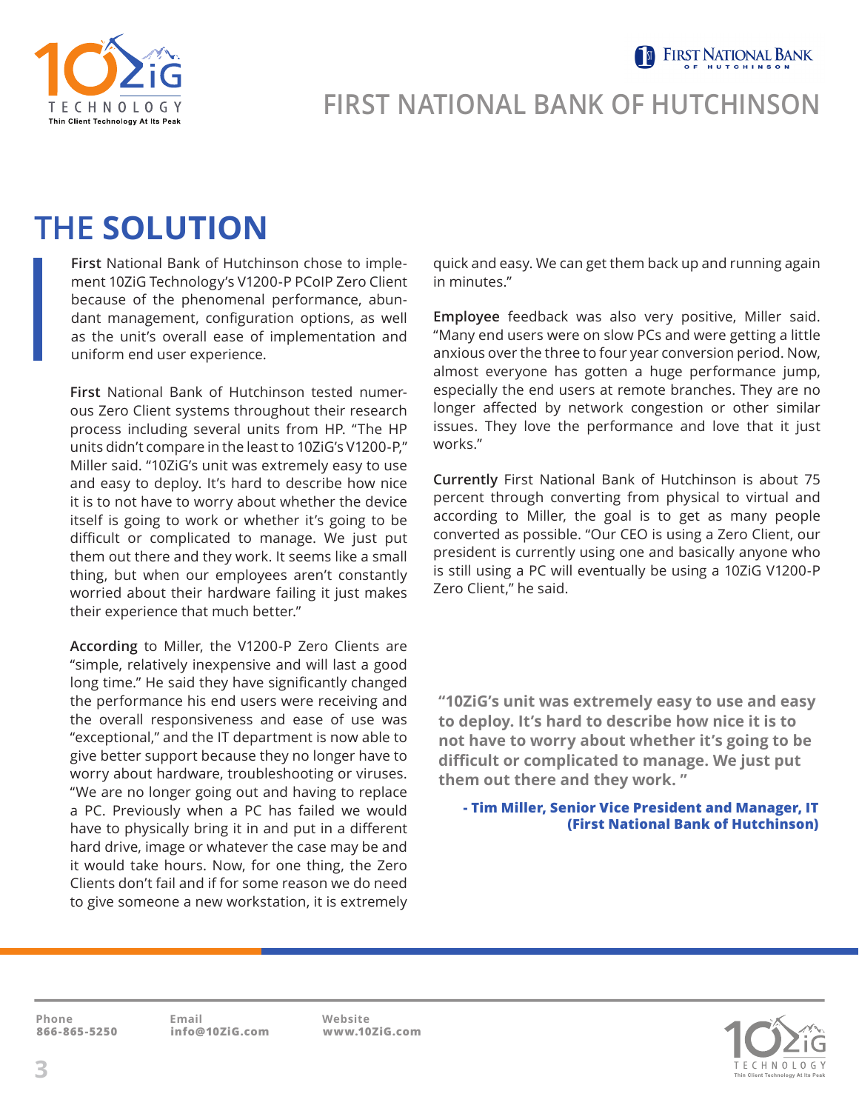Thin Client Technology At Its Pe

## **FIRST NATIONAL BANK OF HUTCHINSON**

## **THE SOLUTION**

**First** National Bank of Hutchinson chose to implement 10ZiG Technology's V1200-P PCoIP Zero Client because of the phenomenal performance, abundant management, configuration options, as well as the unit's overall ease of implementation and uniform end user experience.

**First** National Bank of Hutchinson tested numerous Zero Client systems throughout their research process including several units from HP. "The HP units didn't compare in the least to 10ZiG's V1200-P," Miller said. "10ZiG's unit was extremely easy to use and easy to deploy. It's hard to describe how nice it is to not have to worry about whether the device itself is going to work or whether it's going to be difficult or complicated to manage. We just put them out there and they work. It seems like a small thing, but when our employees aren't constantly worried about their hardware failing it just makes their experience that much better."

**According** to Miller, the V1200-P Zero Clients are "simple, relatively inexpensive and will last a good long time." He said they have significantly changed the performance his end users were receiving and the overall responsiveness and ease of use was "exceptional," and the IT department is now able to give better support because they no longer have to worry about hardware, troubleshooting or viruses. "We are no longer going out and having to replace a PC. Previously when a PC has failed we would have to physically bring it in and put in a different hard drive, image or whatever the case may be and it would take hours. Now, for one thing, the Zero Clients don't fail and if for some reason we do need to give someone a new workstation, it is extremely

quick and easy. We can get them back up and running again in minutes."

**FIRST NATIONAL BANK** 

**Employee** feedback was also very positive, Miller said. "Many end users were on slow PCs and were getting a little anxious over the three to four year conversion period. Now, almost everyone has gotten a huge performance jump, especially the end users at remote branches. They are no longer affected by network congestion or other similar issues. They love the performance and love that it just works."

**Currently** First National Bank of Hutchinson is about 75 percent through converting from physical to virtual and according to Miller, the goal is to get as many people converted as possible. "Our CEO is using a Zero Client, our president is currently using one and basically anyone who is still using a PC will eventually be using a 10ZiG V1200-P Zero Client," he said.

**"10ZiG's unit was extremely easy to use and easy to deploy. It's hard to describe how nice it is to not have to worry about whether it's going to be difficult or complicated to manage. We just put them out there and they work. "**

 **- Tim Miller, Senior Vice President and Manager, IT (First National Bank of Hutchinson)**

**866-865-5250 info@10ZiG.com www.10ZiG.com Phone Email Website**